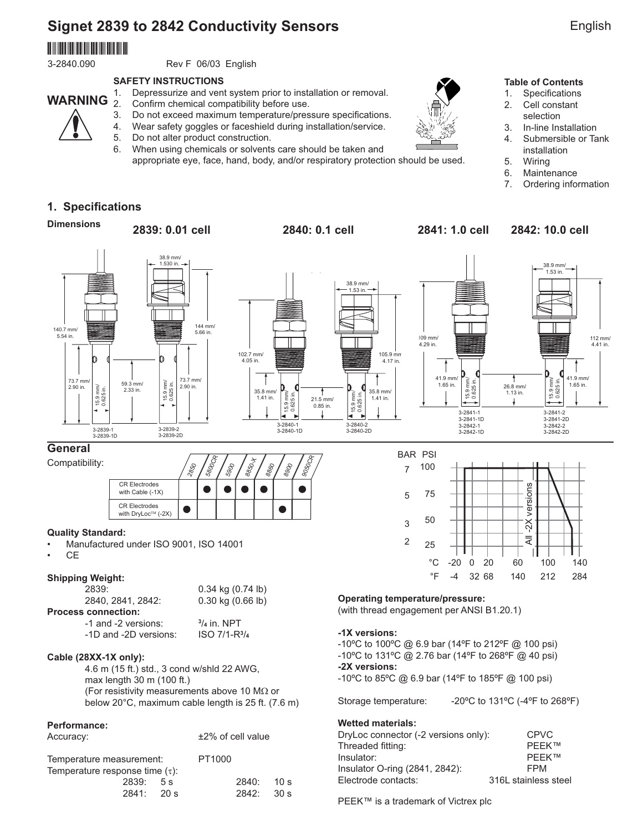# **Signet 2839 to 2842 Conductivity Sensors**

# 3-2850.090

**WARNING**

3-2840.090 Rev F 06/03 English

#### **SAFETY INSTRUCTIONS**

- 1. Depressurize and vent system prior to installation or removal.
	- Confirm chemical compatibility before use.
- 3. Do not exceed maximum temperature/pressure specifications.
- 4. Wear safety goggles or faceshield during installation/service.

5. Do not alter product construction.

6. When using chemicals or solvents care should be taken and appropriate eye, face, hand, body, and/or respiratory protection should be used.



#### **Table of Contents**

- 1. Specifications
- 2. Cell constant selection
- 3. In-line Installation
- 4. Submersible or Tank installation
- 5. Wiring
- 6. Maintenance
- 7. Ordering information

# **1. Specifications**

**Dimensions**

## **2839: 0.01 cell 2840: 0.1 cell 2841: 1.0 cell 2842: 10.0 cell**



### **General**

Compatibility:



#### **Quality Standard:**

- Manufactured under ISO 9001, ISO 14001
- CE

### **Shipping Weight:**

 2839: 0.34 kg (0.74 lb) 2840, 2841, 2842: 0.30 kg (0.66 lb) **Process connection:** -1 and -2 versions: **<sup>3</sup>**

/**4** in. NPT -1D and -2D versions: **ISO 7/1-R**<sup>3</sup>/4

### **Cable (28XX-1X only):**

 4.6 m (15 ft.) std., 3 cond w/shld 22 AWG, max length 30 m (100 ft.) (For resistivity measurements above 10 M $\Omega$  or below 20°C, maximum cable length is 25 ft. (7.6 m)

#### **Performance:**

| Accuracy:                                                        |        |  | $±2\%$ of cell value |                 |
|------------------------------------------------------------------|--------|--|----------------------|-----------------|
| Temperature measurement:<br>Temperature response time $(\tau)$ : | PT1000 |  |                      |                 |
|                                                                  |        |  |                      |                 |
| 2839:5s                                                          |        |  | 2840:                | 10 <sub>s</sub> |
| 2841:20 s                                                        |        |  | 2842:                | 30 s            |



### **Operating temperature/pressure:**

(with thread engagement per ANSI B1.20.1)

#### **-1X versions:**

-10ºC to 100ºC @ 6.9 bar (14ºF to 212ºF @ 100 psi) -10ºC to 131ºC @ 2.76 bar (14ºF to 268ºF @ 40 psi) **-2X versions:** -10ºC to 85ºC @ 6.9 bar (14ºF to 185ºF @ 100 psi)

Storage temperature: -20°C to 131°C (-4°F to 268°F)

#### **Wetted materials:**

| DryLoc connector (-2 versions only): | CPVC                 |
|--------------------------------------|----------------------|
| Threaded fitting:                    | <b>PFFK™</b>         |
| Insulator:                           | <b>PFFK™</b>         |
| Insulator O-ring (2841, 2842):       | <b>FPM</b>           |
| Electrode contacts:                  | 316L stainless steel |
|                                      |                      |

PEEK™ is a trademark of Victrex plc

English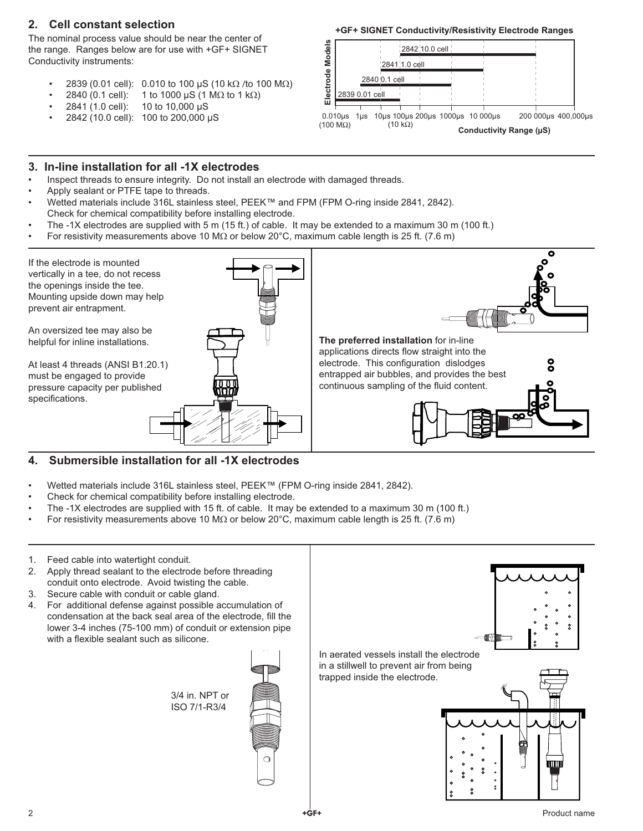# **2. Cell constant selection**

The nominal process value should be near the center of the range. Ranges below are for use with +GF+ SIGNET Conductivity instruments:

- 2839 (0.01 cell): 0.010 to 100 µS (10 kΩ /to 100 MΩ)
- 2840 (0.1 cell): 1 to 1000 µS (1 MΩ to 1 kΩ)
- 2841 (1.0 cell): 10 to 10,000 µS
- 2842 (10.0 cell): 100 to 200,000 µS

#### **+GF+ SIGNET Conductivity/Resistivity Electrode Ranges**



#### **3. In-line installation for all -1X electrodes**

- Inspect threads to ensure integrity. Do not install an electrode with damaged threads.
- Apply sealant or PTFE tape to threads.
- Wetted materials include 316L stainless steel, PEEK™ and FPM (FPM O-ring inside 2841, 2842). Check for chemical compatibility before installing electrode.
- The -1X electrodes are supplied with 5 m (15 ft.) of cable. It may be extended to a maximum 30 m (100 ft.)
- For resistivity measurements above 10 MΩ or below 20°C, maximum cable length is 25 ft. (7.6 m)



### **4. Submersible installation for all -1X electrodes**

- Wetted materials include 316L stainless steel, PEEK™ (FPM O-ring inside 2841, 2842).
- Check for chemical compatibility before installing electrode.
- The -1X electrodes are supplied with 15 ft. of cable. It may be extended to a maximum 30 m (100 ft.)
- For resistivity measurements above 10 MΩ or below 20°C, maximum cable length is 25 ft. (7.6 m)
- 1. Feed cable into watertight conduit.
- 2. Apply thread sealant to the electrode before threading conduit onto electrode. Avoid twisting the cable.
- 3. Secure cable with conduit or cable gland.
- 4. For additional defense against possible accumulation of condensation at the back seal area of the electrode, fill the lower 3-4 inches (75-100 mm) of conduit or extension pipe with a flexible sealant such as silicone.

3/4 in. NPT or ISO 7/1-R3/4







trapped inside the electrode.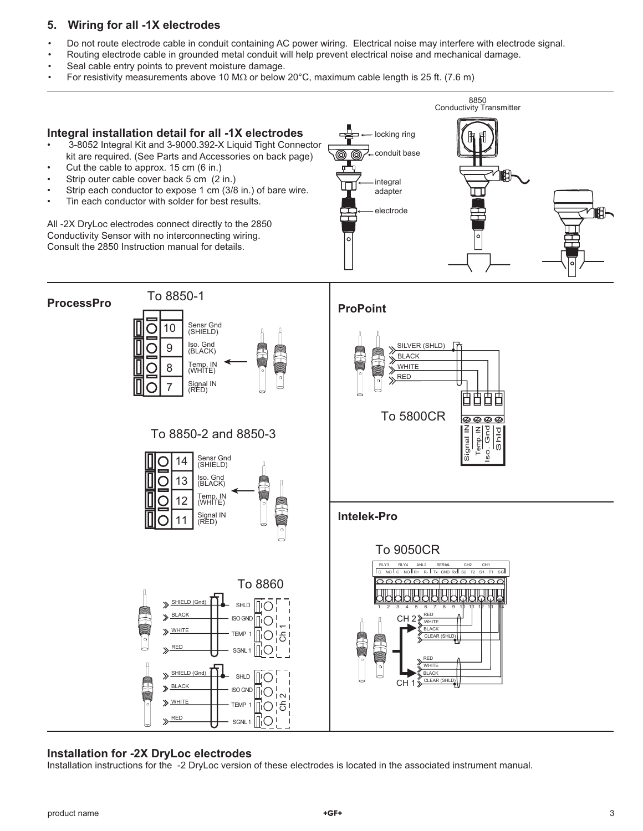# **5. Wiring for all -1X electrodes**

- Do not route electrode cable in conduit containing AC power wiring. Electrical noise may interfere with electrode signal.
- Routing electrode cable in grounded metal conduit will help prevent electrical noise and mechanical damage.
- Seal cable entry points to prevent moisture damage.
- For resistivity measurements above 10 M $\Omega$  or below 20°C, maximum cable length is 25 ft. (7.6 m)



### **Installation for -2X DryLoc electrodes**

Installation instructions for the -2 DryLoc version of these electrodes is located in the associated instrument manual.